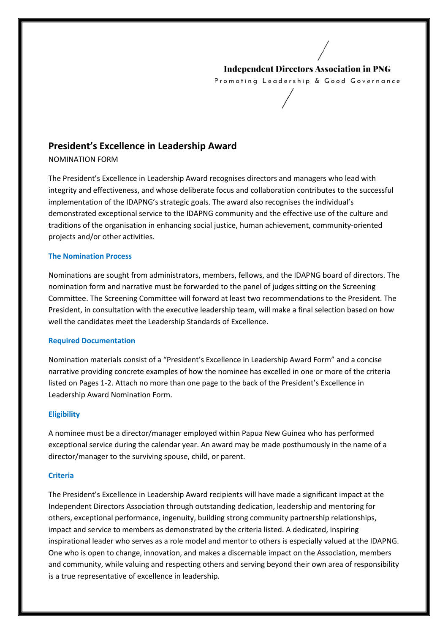### **Independent Directors Association in PNG**

Promoting Leadership & Good Governance

## **President's Excellence in Leadership Award**

NOMINATION FORM

The President's Excellence in Leadership Award recognises directors and managers who lead with The President's Excellence in Leadership Award recognises directors and managers who lead with<br>integrity and effectiveness, and whose deliberate focus and collaboration contributes to the successful implementation of the IDAPNG's strategic goals. The award also recognises the individual's implementation of the IDAPNG's strategic goals. The award also recognises the individual's<br>demonstrated exceptional service to the IDAPNG community and the effective use of the culture and<br>traditions of the organisation in traditions of the organisation in enhancing social justice, human achievement, community projects and/or other activities.

#### **The Nomination Process**

Nominations are sought from administrators, members, fellows, and the IDAPNG board of directors. The nomination form and narrative must be forwarded to the panel of judges sitting on the Screening Committee. The Screening Committee will forward at least two recommendations to the President. The President, in consultation with the executive leadership team, will make a final selection based on how well the candidates meet the Leadership Standards of Excellence. IDAPNG board of directors. Th<br>s sitting on the Screening<br>endations to the President. The<br>a final selection based on how<br>Ward Form" and a concise<br>in one or more of the criteria

#### **Required Documentation**

Nomination materials consist of a "President's Excellence in Leadership Award Form" and a concise narrative providing concrete examples of how the nominee has excelled in one or listed on Pages 1-2. Attach no more than one page to the back of the President's Excellence in Leadership Award Nomination Form. ndidates meet the Leadership Standards of Excellence.<br>
Documentation<br>
In materials consist of a "President's Excellence in Leadership Award Form" and a conci-<br>
roviding concrete examples of how the nominee has excelled in

#### **Eligibility**

A nominee must be a director/manager employed within exceptional service during the calendar year. An award may be made posthumously in the name of a exceptional service during the calendar year. An award may<br>director/manager to the surviving spouse, child, or parent. 2. Attach no more than one page to the back of the President's Excellence in<br>1 Nomination Form.<br>De a director/manager employed within Papua New Guinea who has performed<br>ce during the calendar year. An award may be made pos

#### **Criteria**

The President's Excellence in Leadership Award recipients will have made a significant impact at Independent Directors Association through outstanding dedication, leadership and mentoring for Independent Directors Association through outstanding dedication, leadership and mentoring for<br>others, exceptional performance, ingenuity, building strong community partnership relationships, impact and service to members as demonstrated by the criteria listed. A dedicated, inspiring impact and service to members as demonstrated by the criteria listed. A dedicated, inspiring<br>inspirational leader who serves as a role model and mentor to others is especially valued at the IDAPNG. One who is open to change, innovation, and makes a discernable impact on the Association, members and community, while valuing and respecting others and serving beyond their own area of responsibility is a true representative of excellence in leadership.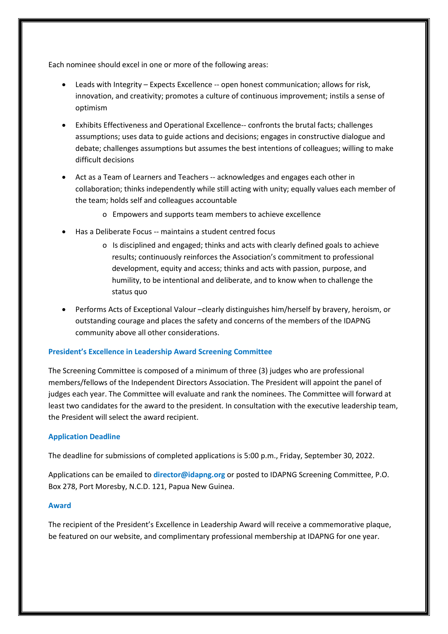Each nominee should excel in one or more of the following areas:

- Leads with Integrity Expects Excellence -- open honest communication; allows for risk, innovation, and creativity; promotes a culture of continuous improvement; instils a sense of optimism
- Exhibits Effectiveness and Operational Excellence-- confronts the brutal facts; challenges assumptions; uses data to guide actions and decisions; engages in constructive dialogue and debate; challenges assumptions but assumes the best intentions of colleagues; willing to make difficult decisions
- Act as a Team of Learners and Teachers -- acknowledges and engages each other in collaboration; thinks independently while still acting with unity; equally values each member of the team; holds self and colleagues accountable
	- o Empowers and supports team members to achieve excellence
- Has a Deliberate Focus -- maintains a student centred focus
	- o Is disciplined and engaged; thinks and acts with clearly defined goals to achieve results; continuously reinforces the Association's commitment to professional development, equity and access; thinks and acts with passion, purpose, and humility, to be intentional and deliberate, and to know when to challenge the status quo
- Performs Acts of Exceptional Valour –clearly distinguishes him/herself by bravery, heroism, or outstanding courage and places the safety and concerns of the members of the IDAPNG community above all other considerations.

#### **President's Excellence in Leadership Award Screening Committee**

The Screening Committee is composed of a minimum of three (3) judges who are professional members/fellows of the Independent Directors Association. The President will appoint the panel of judges each year. The Committee will evaluate and rank the nominees. The Committee will forward at least two candidates for the award to the president. In consultation with the executive leadership team, the President will select the award recipient.

#### **Application Deadline**

The deadline for submissions of completed applications is 5:00 p.m., Friday, September 30, 2022.

Applications can be emailed to **director@idapng.org** or posted to IDAPNG Screening Committee, P.O. Box 278, Port Moresby, N.C.D. 121, Papua New Guinea.

#### **Award**

The recipient of the President's Excellence in Leadership Award will receive a commemorative plaque, be featured on our website, and complimentary professional membership at IDAPNG for one year.